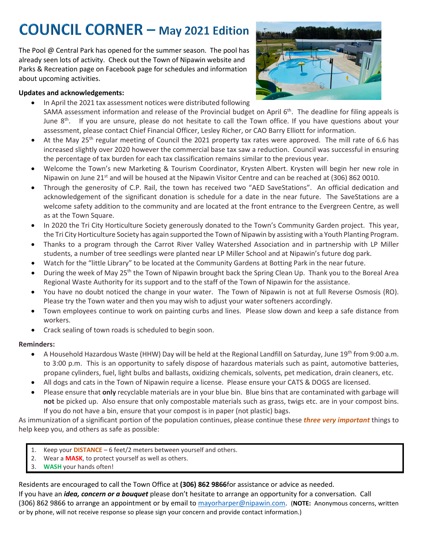# **COUNCIL CORNER - May 2021 Edition**

The Pool @ Central Park has opened for the summer season. The pool has already seen lots of activity. Check out the Town of Nipawin website and Parks & Recreation page on Facebook page for schedules and information about upcoming activities.

#### **Updates and acknowledgements:**



- In April the 2021 tax assessment notices were distributed following SAMA assessment information and release of the Provincial budget on April 6<sup>th</sup>. The deadline for filing appeals is June 8<sup>th</sup>. If you are unsure, please do not hesitate to call the Town office. If you have questions about your assessment, please contact Chief Financial Officer, Lesley Richer, or CAO Barry Elliott for information.
- At the May 25<sup>th</sup> regular meeting of Council the 2021 property tax rates were approved. The mill rate of 6.6 has increased slightly over 2020 however the commercial base tax saw a reduction. Council was successful in ensuring the percentage of tax burden for each tax classification remains similar to the previous year.
- Welcome the Town's new Marketing & Tourism Coordinator, Krysten Albert. Krysten will begin her new role in Nipawin on June 21<sup>st</sup> and will be housed at the Nipawin Visitor Centre and can be reached at (306) 862 0010.
- Through the generosity of C.P. Rail, the town has received two "AED SaveStations". An official dedication and acknowledgement of the significant donation is schedule for a date in the near future. The SaveStations are a welcome safety addition to the community and are located at the front entrance to the Evergreen Centre, as well as at the Town Square.
- In 2020 the Tri City Horticulture Society generously donated to the Town's Community Garden project. This year, the Tri City Horticulture Society has again supported the Town of Nipawin by assisting with a Youth Planting Program.
- Thanks to a program through the Carrot River Valley Watershed Association and in partnership with LP Miller students, a number of tree seedlings were planted near LP Miller School and at Nipawin's future dog park.
- Watch for the "little Library" to be located at the Community Gardens at Botting Park in the near future.
- During the week of May 25<sup>th</sup> the Town of Nipawin brought back the Spring Clean Up. Thank you to the Boreal Area Regional Waste Authority for its support and to the staff of the Town of Nipawin for the assistance.
- You have no doubt noticed the change in your water. The Town of Nipawin is not at full Reverse Osmosis (RO). Please try the Town water and then you may wish to adjust your water softeners accordingly.
- Town employees continue to work on painting curbs and lines. Please slow down and keep a safe distance from workers.
- Crack sealing of town roads is scheduled to begin soon.

#### **Reminders:**

- A Household Hazardous Waste (HHW) Day will be held at the Regional Landfill on Saturday, June 19<sup>th</sup> from 9:00 a.m. to 3:00 p.m. This is an opportunity to safely dispose of hazardous materials such as paint, automotive batteries, propane cylinders, fuel, light bulbs and ballasts, oxidizing chemicals, solvents, pet medication, drain cleaners, etc.
- All dogs and cats in the Town of Nipawin require a license. Please ensure your CATS & DOGS are licensed.
- Please ensure that **only** recyclable materials are in your blue bin. Blue bins that are contaminated with garbage will **not** be picked up. Also ensure that only compostable materials such as grass, twigs etc. are in your compost bins. If you do not have a bin, ensure that your compost is in paper (not plastic) bags.

As immunization of a significant portion of the population continues, please continue these *three very important* things to help keep you, and others as safe as possible:

- 1. Keep your **DISTANCE**  6 feet/2 meters between yourself and others.
- 2. Wear a **MASK**, to protect yourself as well as others.
- 3. **WASH** your hands often!

Residents are encouraged to call the Town Office at **(306) 862 9866**for assistance or advice as needed.

If you have an *idea, concern or a bouquet* please don't hesitate to arrange an opportunity for a conversation. Call (306) 862 9866 to arrange an appointment or by email to [mayorharper@nipawin.com.](mailto:mayorharper@nipawin.com) (**NOTE:** Anonymous concerns, written or by phone, will not receive response so please sign your concern and provide contact information.)